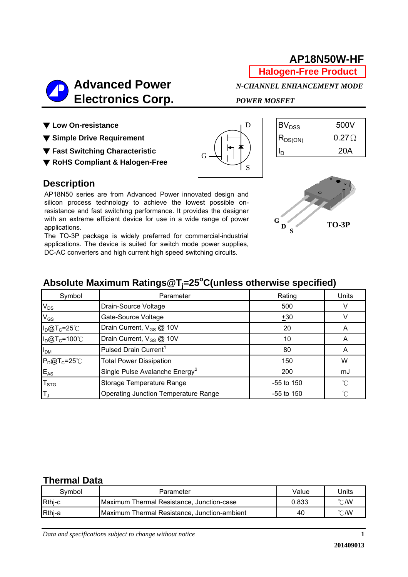# **AP18N50W-HF**

**Halogen-Free Product**



▼ Low On-resistance

▼ Simple Drive Requirement

▼ Fast Switching Characteristic

▼ **RoHS Compliant & Halogen-Free**



| $\mathsf{BV}_{\mathrm{DSS}}$            | 500V         |
|-----------------------------------------|--------------|
| $\mathsf{R}_{\mathsf{DS}(\mathsf{ON})}$ | $0.27\Omega$ |
| $\mathsf{I}_\mathsf{D}$                 | 20A          |

### **Description**

AP18N50 series are from Advanced Power innovated design and silicon process technology to achieve the lowest possible onresistance and fast switching performance. It provides the designer with an extreme efficient device for use in a wide range of power applications.

The TO-3P package is widely preferred for commercial-industrial applications. The device is suited for switch mode power supplies, DC-AC converters and high current high speed switching circuits.



# Absolute Maximum Ratings@T<sub>j</sub>=25°C(unless otherwise specified)

| Symbol                    | Parameter                                  | Rating       | Units          |
|---------------------------|--------------------------------------------|--------------|----------------|
| $V_{DS}$                  | Drain-Source Voltage                       | 500          |                |
| $V_{GS}$                  | Gate-Source Voltage                        | ±30          |                |
| $I_D@T_C=25°C$            | Drain Current, V <sub>GS</sub> @ 10V       | 20           | $\overline{A}$ |
| $I_D@T_C=100^{\circ}C$    | Drain Current, V <sub>GS</sub> @ 10V       | 10           |                |
| I <sub>DM</sub>           | Pulsed Drain Current <sup>1</sup>          | 80           | A              |
| $P_D@T_C=25^{\circ}C$     | <b>Total Power Dissipation</b>             | 150          | W              |
| $E_{AS}$                  | Single Pulse Avalanche Energy <sup>2</sup> | 200          | mJ             |
| $\mathsf{T}_{\text{STG}}$ | Storage Temperature Range                  | $-55$ to 150 | $^{\circ}$ C   |
| T,                        | Operating Junction Temperature Range       | $-55$ to 150 | ิ่∩            |

#### **Thermal Data**

| Symbol | Parameter                                    | Value | Units          |
|--------|----------------------------------------------|-------|----------------|
| Rthj-c | Maximum Thermal Resistance, Junction-case    | 0.833 | $^{\circ}$ C/W |
| Rthj-a | Maximum Thermal Resistance, Junction-ambient | 40    | $^{\circ}$ C/W |

*Data and specifications subject to change without notice*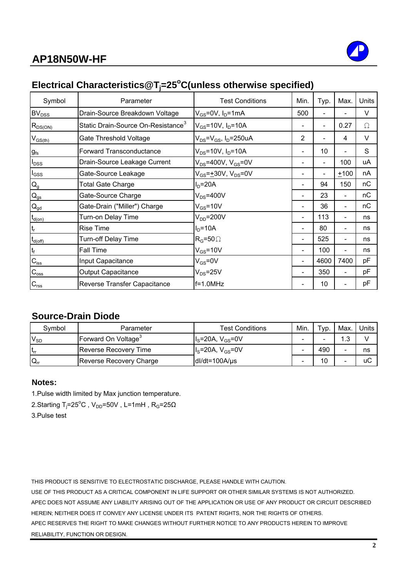

# Electrical Characteristics@T<sub>j</sub>=25°C(unless otherwise specified)

| Symbol                     | Parameter                                      | <b>Test Conditions</b>                    | Min.                     | Typ. | Max.                     | Units  |
|----------------------------|------------------------------------------------|-------------------------------------------|--------------------------|------|--------------------------|--------|
| BV <sub>DSS</sub>          | Drain-Source Breakdown Voltage                 | $V_{GS}$ =0V, I <sub>D</sub> =1mA         | 500                      |      |                          | $\vee$ |
| $R_{DS(ON)}$               | Static Drain-Source On-Resistance <sup>3</sup> | $V_{GS}$ =10V, $I_{D}$ =10A               |                          |      | 0.27                     | Ω      |
| $V_{GS(th)}$               | Gate Threshold Voltage                         | $V_{DS} = V_{GS}$ , I <sub>D</sub> =250uA | 2                        |      | 4                        | $\vee$ |
| $g_{fs}$                   | <b>Forward Transconductance</b>                | $V_{DS} = 10V$ , $I_D = 10A$              |                          | 10   |                          | S      |
| $I_{DSS}$                  | Drain-Source Leakage Current                   | $V_{DS}$ =400V, $V_{GS}$ =0V              |                          |      | 100                      | uA     |
| $I_{GSS}$                  | Gate-Source Leakage                            | $V_{GS} = \pm 30V$ , $V_{DS} = 0V$        |                          |      | $+100$                   | nA     |
| $\mathsf{Q}_{\mathsf{g}}$  | Total Gate Charge                              | $ID=20A$                                  | -                        | 94   | 150                      | nС     |
| $\mathsf{Q}_{\mathsf{gs}}$ | Gate-Source Charge                             | $V_{DS} = 400V$                           | $\overline{\phantom{a}}$ | 23   | $\blacksquare$           | nС     |
| $\mathbf{Q}_{\text{gd}}$   | Gate-Drain ("Miller") Charge                   | $V_{GS}$ =10V                             | $\overline{\phantom{a}}$ | 36   | $\overline{\phantom{0}}$ | nС     |
| $t_{d(on)}$                | Turn-on Delay Time                             | $V_{DD}$ =200V                            | $\overline{\phantom{a}}$ | 113  | $\overline{\phantom{0}}$ | ns     |
| $t_{r}$                    | <b>Rise Time</b>                               | $ID=10A$                                  | $\overline{\phantom{a}}$ | 80   | $\overline{\phantom{a}}$ | ns     |
| $t_{d(\text{off})}$        | <b>Turn-off Delay Time</b>                     | $R_G = 50 \Omega$                         | -                        | 525  | $\overline{\phantom{0}}$ | ns     |
| $t_f$                      | Fall Time                                      | $V_{GS}$ =10V                             | ۰                        | 100  | $\overline{\phantom{a}}$ | ns     |
| $\mathbf{C}_{\text{iss}}$  | Input Capacitance                              | $V_{GS} = 0V$                             | $\overline{\phantom{a}}$ | 4600 | 7400                     | pF     |
| $C_{\rm{oss}}$             | <b>Output Capacitance</b>                      | $V_{DS} = 25V$                            |                          | 350  | $\overline{\phantom{a}}$ | pF     |
| $C_{\text{rss}}$           | Reverse Transfer Capacitance                   | f=1.0MHz                                  |                          | 10   |                          | рF     |

### **Source-Drain Diode**

| Symbol           | Parameter                       | <b>Test Conditions</b> | Min. | ⊤ур. | Max. | Units |
|------------------|---------------------------------|------------------------|------|------|------|-------|
| $V_{SD}$         | Forward On Voltage <sup>3</sup> | $IS=20A, VGS=0V$       |      | -    | 1.3  |       |
| lt <sub>rr</sub> | Reverse Recovery Time           | $Is=20A, VGS=0V$       |      | 490  |      | ns    |
| $Q_{rr}$         | Reverse Recovery Charge         | $dl/dt = 100A/\mu s$   |      | 10   |      | uC    |

#### **Notes:**

1.Pulse width limited by Max junction temperature.

2.Starting T<sub>j</sub>=25°C , V<sub>DD</sub>=50V , L=1mH , R<sub>G</sub>=25Ω

3.Pulse test

THIS PRODUCT IS SENSITIVE TO ELECTROSTATIC DISCHARGE, PLEASE HANDLE WITH CAUTION.

USE OF THIS PRODUCT AS A CRITICAL COMPONENT IN LIFE SUPPORT OR OTHER SIMILAR SYSTEMS IS NOT AUTHORIZED. APEC DOES NOT ASSUME ANY LIABILITY ARISING OUT OF THE APPLICATION OR USE OF ANY PRODUCT OR CIRCUIT DESCRIBED HEREIN; NEITHER DOES IT CONVEY ANY LICENSE UNDER ITS PATENT RIGHTS, NOR THE RIGHTS OF OTHERS. APEC RESERVES THE RIGHT TO MAKE CHANGES WITHOUT FURTHER NOTICE TO ANY PRODUCTS HEREIN TO IMPROVE RELIABILITY, FUNCTION OR DESIGN.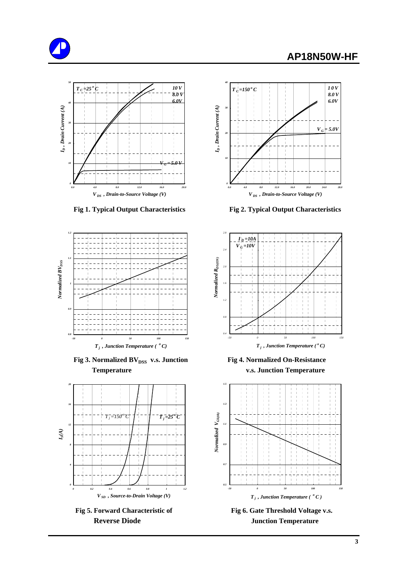





**Fig 3. Normalized BV**<sub>DSS</sub> v.s. Junction Fig 4. Normalized On-Resistance  **Temperature v.s. Junction Temperature**





 **Fig 1. Typical Output Characteristics Fig 2. Typical Output Characteristics**





Fig 5. Forward Characteristic of Fig 6. Gate Threshold Voltage v.s. **Reverse Diode Junction Temperature**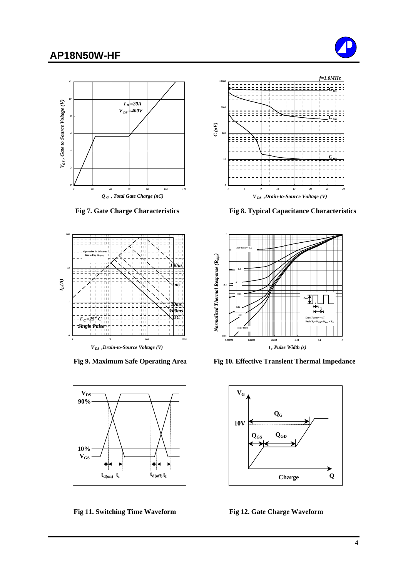### **AP18N50W-HF**









Fig 11. Switching Time Waveform Fig 12. Gate Charge Waveform



 **Fig 7. Gate Charge Characteristics Fig 8. Typical Capacitance Characteristics**



Fig 9. Maximum Safe Operating Area Fig 10. Effective Transient Thermal Impedance

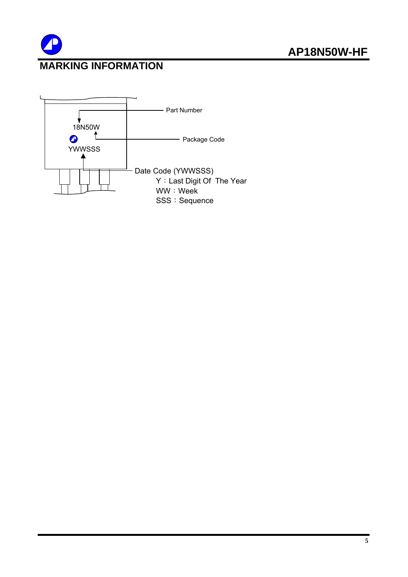

# **MARKING INFORMATION**

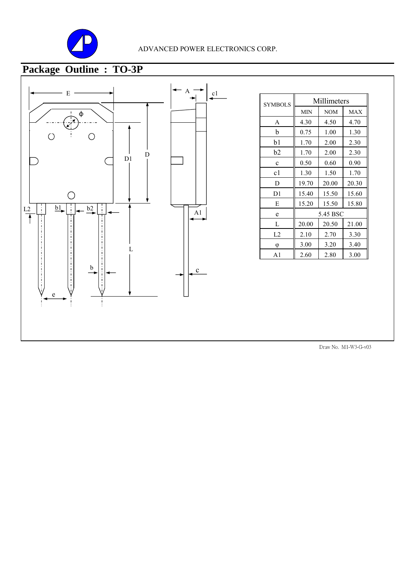

#### ADVANCED POWER ELECTRONICS CORP.

# **Package Outline : TO-3P**



| Millimeters |            |            |  |
|-------------|------------|------------|--|
| <b>MIN</b>  | <b>NOM</b> | <b>MAX</b> |  |
| 4.30        | 4.50       | 4.70       |  |
| 0.75        | 1.00       | 1.30       |  |
| 1.70        | 2.00       | 2.30       |  |
| 1.70        | 2.00       | 2.30       |  |
| 0.50        | 0.60       | 0.90       |  |
| 1.30        | 1.50       | 1.70       |  |
| 19.70       | 20.00      | 20.30      |  |
| 15.40       | 15.50      | 15.60      |  |
| 15.20       | 15.50      | 15.80      |  |
| 5.45 BSC    |            |            |  |
| 20.00       | 20.50      | 21.00      |  |
| 2.10        | 2.70       | 3.30       |  |
| 3.00        | 3.20       | 3.40       |  |
| 2.60        | 2.80       | 3.00       |  |
|             |            |            |  |

Draw No. M1-W3-G-v03